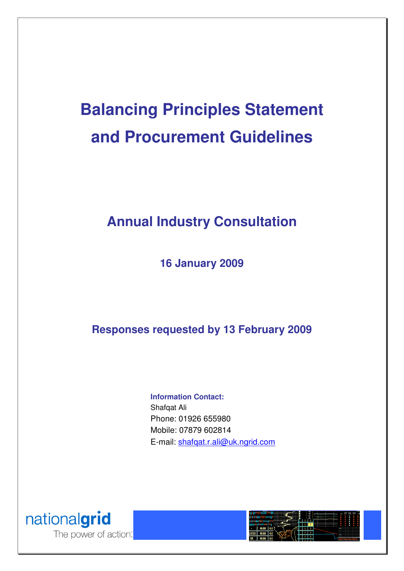# **Balancing Principles Statement and Procurement Guidelines**

## **Annual Industry Consultation**

**16 January 2009** 

**Responses requested by 13 February 2009** 

#### **Information Contact:**

Shafqat Ali Phone: 01926 655980 Mobile: 07879 602814 E-mail: shafqat.r.ali@uk.ngrid.com



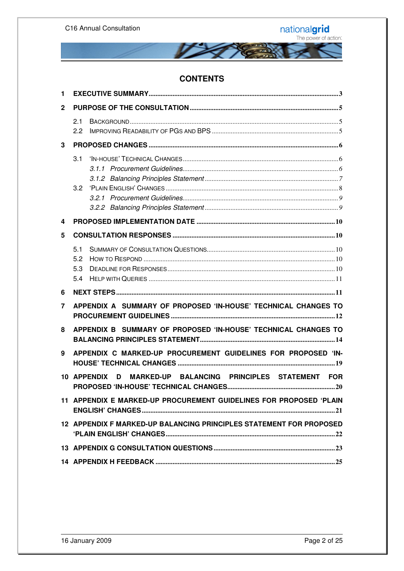

#### **CONTENTS**

| 1            |                                                                     |  |  |
|--------------|---------------------------------------------------------------------|--|--|
| $\mathbf{2}$ |                                                                     |  |  |
|              | 2.1<br>$2.2^{\circ}$                                                |  |  |
| 3            |                                                                     |  |  |
|              | 3.1<br>3.2                                                          |  |  |
| 4            |                                                                     |  |  |
| 5            |                                                                     |  |  |
|              | 5.1<br>5.2<br>5.3<br>5.4                                            |  |  |
| 6            |                                                                     |  |  |
| 7            | APPENDIX A SUMMARY OF PROPOSED 'IN-HOUSE' TECHNICAL CHANGES TO      |  |  |
| 8            | APPENDIX B SUMMARY OF PROPOSED 'IN-HOUSE' TECHNICAL CHANGES TO      |  |  |
| 9            | APPENDIX C MARKED-UP PROCUREMENT GUIDELINES FOR PROPOSED 'IN-       |  |  |
|              | 10 APPENDIX D MARKED-UP BALANCING PRINCIPLES STATEMENT FOR          |  |  |
|              | 11 APPENDIX E MARKED-UP PROCUREMENT GUIDELINES FOR PROPOSED 'PLAIN  |  |  |
|              | 12 APPENDIX F MARKED-UP BALANCING PRINCIPLES STATEMENT FOR PROPOSED |  |  |
|              |                                                                     |  |  |
|              |                                                                     |  |  |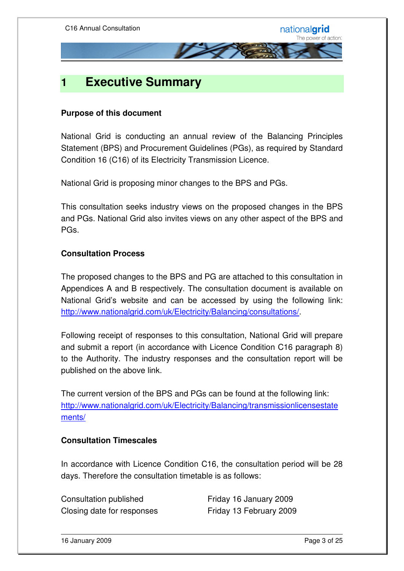

### **1 Executive Summary**

#### **Purpose of this document**

National Grid is conducting an annual review of the Balancing Principles Statement (BPS) and Procurement Guidelines (PGs), as required by Standard Condition 16 (C16) of its Electricity Transmission Licence.

National Grid is proposing minor changes to the BPS and PGs.

This consultation seeks industry views on the proposed changes in the BPS and PGs. National Grid also invites views on any other aspect of the BPS and PGs.

#### **Consultation Process**

The proposed changes to the BPS and PG are attached to this consultation in Appendices A and B respectively. The consultation document is available on National Grid's website and can be accessed by using the following link: http://www.nationalgrid.com/uk/Electricity/Balancing/consultations/.

Following receipt of responses to this consultation, National Grid will prepare and submit a report (in accordance with Licence Condition C16 paragraph 8) to the Authority. The industry responses and the consultation report will be published on the above link.

The current version of the BPS and PGs can be found at the following link: http://www.nationalgrid.com/uk/Electricity/Balancing/transmissionlicensestate ments/

#### **Consultation Timescales**

In accordance with Licence Condition C16, the consultation period will be 28 days. Therefore the consultation timetable is as follows:

Consultation published Friday 16 January 2009 Closing date for responses Friday 13 February 2009

16 January 2009 Page 3 of 25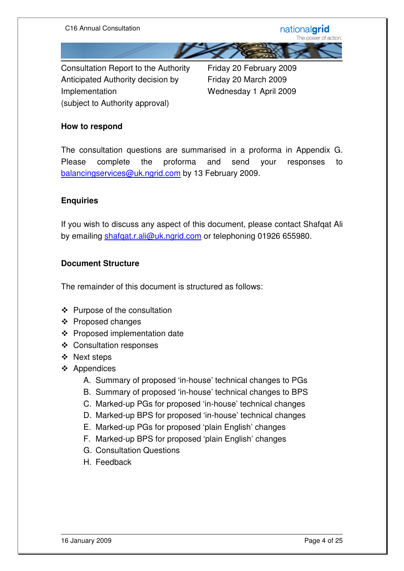

Consultation Report to the Authority Friday 20 February 2009 Anticipated Authority decision by Friday 20 March 2009 Implementation Wednesday 1 April 2009 (subject to Authority approval)

#### **How to respond**

The consultation questions are summarised in a proforma in Appendix G. Please complete the proforma and send your responses to balancingservices@uk.ngrid.com by 13 February 2009.

#### **Enquiries**

If you wish to discuss any aspect of this document, please contact Shafqat Ali by emailing shafqat.r.ali@uk.ngrid.com or telephoning 01926 655980.

#### **Document Structure**

The remainder of this document is structured as follows:

- ❖ Purpose of the consultation
- $\div$  Proposed changes
- Proposed implementation date
- Consultation responses
- ❖ Next steps
- ❖ Appendices
	- A. Summary of proposed 'in-house' technical changes to PGs
	- B. Summary of proposed 'in-house' technical changes to BPS
	- C. Marked-up PGs for proposed 'in-house' technical changes
	- D. Marked-up BPS for proposed 'in-house' technical changes
	- E. Marked-up PGs for proposed 'plain English' changes
	- F. Marked-up BPS for proposed 'plain English' changes
	- G. Consultation Questions
	- H. Feedback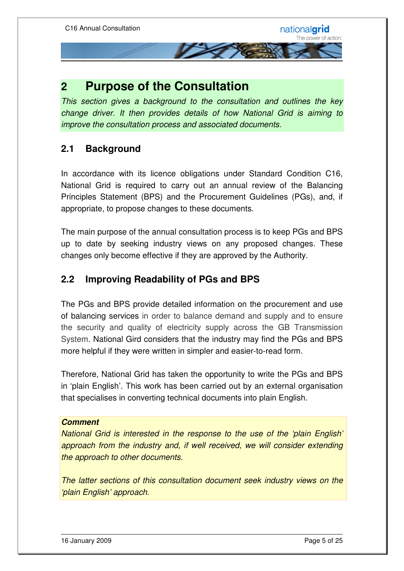### **2 Purpose of the Consultation**

This section gives a background to the consultation and outlines the key change driver. It then provides details of how National Grid is aiming to improve the consultation process and associated documents.

#### **2.1 Background**

In accordance with its licence obligations under Standard Condition C16, National Grid is required to carry out an annual review of the Balancing Principles Statement (BPS) and the Procurement Guidelines (PGs), and, if appropriate, to propose changes to these documents.

The main purpose of the annual consultation process is to keep PGs and BPS up to date by seeking industry views on any proposed changes. These changes only become effective if they are approved by the Authority.

#### **2.2 Improving Readability of PGs and BPS**

The PGs and BPS provide detailed information on the procurement and use of balancing services in order to balance demand and supply and to ensure the security and quality of electricity supply across the GB Transmission System. National Gird considers that the industry may find the PGs and BPS more helpful if they were written in simpler and easier-to-read form.

Therefore, National Grid has taken the opportunity to write the PGs and BPS in 'plain English'. This work has been carried out by an external organisation that specialises in converting technical documents into plain English.

#### **Comment**

National Grid is interested in the response to the use of the 'plain English' approach from the industry and, if well received, we will consider extending the approach to other documents.

The latter sections of this consultation document seek industry views on the 'plain English' approach.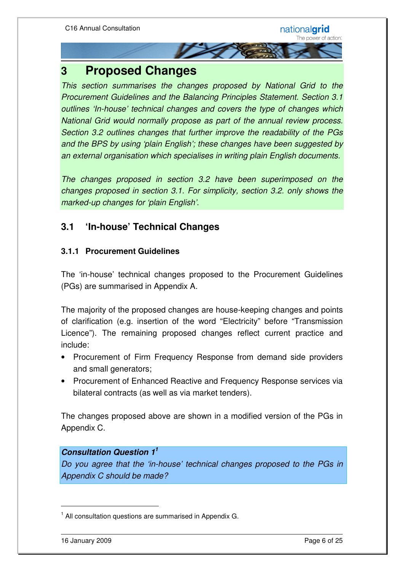### **3 Proposed Changes**

This section summarises the changes proposed by National Grid to the Procurement Guidelines and the Balancing Principles Statement. Section 3.1 outlines 'In-house' technical changes and covers the type of changes which National Grid would normally propose as part of the annual review process. Section 3.2 outlines changes that further improve the readability of the PGs and the BPS by using 'plain English'; these changes have been suggested by an external organisation which specialises in writing plain English documents.

**THE REAL** 

The changes proposed in section 3.2 have been superimposed on the changes proposed in section 3.1. For simplicity, section 3.2. only shows the marked-up changes for 'plain English'.

#### **3.1 'In-house' Technical Changes**

#### **3.1.1 Procurement Guidelines**

The 'in-house' technical changes proposed to the Procurement Guidelines (PGs) are summarised in Appendix A.

The majority of the proposed changes are house-keeping changes and points of clarification (e.g. insertion of the word "Electricity" before "Transmission Licence"). The remaining proposed changes reflect current practice and include:

- Procurement of Firm Frequency Response from demand side providers and small generators;
- Procurement of Enhanced Reactive and Frequency Response services via bilateral contracts (as well as via market tenders).

The changes proposed above are shown in a modified version of the PGs in Appendix C.

#### **Consultation Question 1<sup>1</sup>**

Do you agree that the 'in-house' technical changes proposed to the PGs in Appendix C should be made?

<u>.</u>

<sup>&</sup>lt;sup>1</sup> All consultation questions are summarised in Appendix G.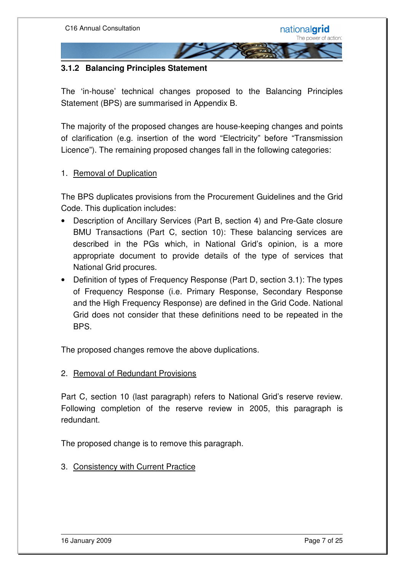#### **3.1.2 Balancing Principles Statement**

The 'in-house' technical changes proposed to the Balancing Principles Statement (BPS) are summarised in Appendix B.

The majority of the proposed changes are house-keeping changes and points of clarification (e.g. insertion of the word "Electricity" before "Transmission Licence"). The remaining proposed changes fall in the following categories:

#### 1. Removal of Duplication

The BPS duplicates provisions from the Procurement Guidelines and the Grid Code. This duplication includes:

- Description of Ancillary Services (Part B, section 4) and Pre-Gate closure BMU Transactions (Part C, section 10): These balancing services are described in the PGs which, in National Grid's opinion, is a more appropriate document to provide details of the type of services that National Grid procures.
- Definition of types of Frequency Response (Part D, section 3.1): The types of Frequency Response (i.e. Primary Response, Secondary Response and the High Frequency Response) are defined in the Grid Code. National Grid does not consider that these definitions need to be repeated in the BPS.

The proposed changes remove the above duplications.

#### 2. Removal of Redundant Provisions

Part C, section 10 (last paragraph) refers to National Grid's reserve review. Following completion of the reserve review in 2005, this paragraph is redundant.

The proposed change is to remove this paragraph.

3. Consistency with Current Practice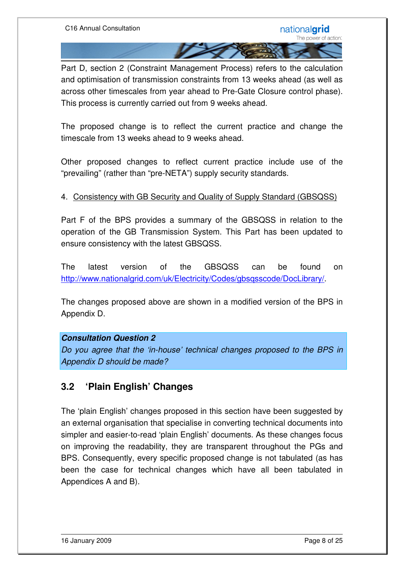Part D, section 2 (Constraint Management Process) refers to the calculation and optimisation of transmission constraints from 13 weeks ahead (as well as across other timescales from year ahead to Pre-Gate Closure control phase). This process is currently carried out from 9 weeks ahead.

The proposed change is to reflect the current practice and change the timescale from 13 weeks ahead to 9 weeks ahead.

Other proposed changes to reflect current practice include use of the "prevailing" (rather than "pre-NETA") supply security standards.

#### 4. Consistency with GB Security and Quality of Supply Standard (GBSQSS)

Part F of the BPS provides a summary of the GBSQSS in relation to the operation of the GB Transmission System. This Part has been updated to ensure consistency with the latest GBSQSS.

The latest version of the GBSQSS can be found on http://www.nationalgrid.com/uk/Electricity/Codes/gbsgsscode/DocLibrary/.

The changes proposed above are shown in a modified version of the BPS in Appendix D.

#### **Consultation Question 2**

Do you agree that the 'in-house' technical changes proposed to the BPS in Appendix D should be made?

#### **3.2 'Plain English' Changes**

The 'plain English' changes proposed in this section have been suggested by an external organisation that specialise in converting technical documents into simpler and easier-to-read 'plain English' documents. As these changes focus on improving the readability, they are transparent throughout the PGs and BPS. Consequently, every specific proposed change is not tabulated (as has been the case for technical changes which have all been tabulated in Appendices A and B).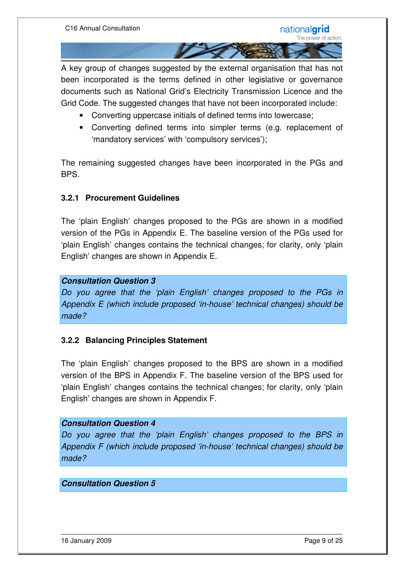A key group of changes suggested by the external organisation that has not been incorporated is the terms defined in other legislative or governance documents such as National Grid's Electricity Transmission Licence and the Grid Code. The suggested changes that have not been incorporated include:

- Converting uppercase initials of defined terms into lowercase;
- Converting defined terms into simpler terms (e.g. replacement of 'mandatory services' with 'compulsory services');

The remaining suggested changes have been incorporated in the PGs and BPS.

#### **3.2.1 Procurement Guidelines**

The 'plain English' changes proposed to the PGs are shown in a modified version of the PGs in Appendix E. The baseline version of the PGs used for 'plain English' changes contains the technical changes; for clarity, only 'plain English' changes are shown in Appendix E.

#### **Consultation Question 3**

Do you agree that the 'plain English' changes proposed to the PGs in Appendix E (which include proposed 'in-house' technical changes) should be made?

#### **3.2.2 Balancing Principles Statement**

The 'plain English' changes proposed to the BPS are shown in a modified version of the BPS in Appendix F. The baseline version of the BPS used for 'plain English' changes contains the technical changes; for clarity, only 'plain English' changes are shown in Appendix F.

#### **Consultation Question 4**

Do you agree that the 'plain English' changes proposed to the BPS in Appendix F (which include proposed 'in-house' technical changes) should be made?

#### **Consultation Question 5**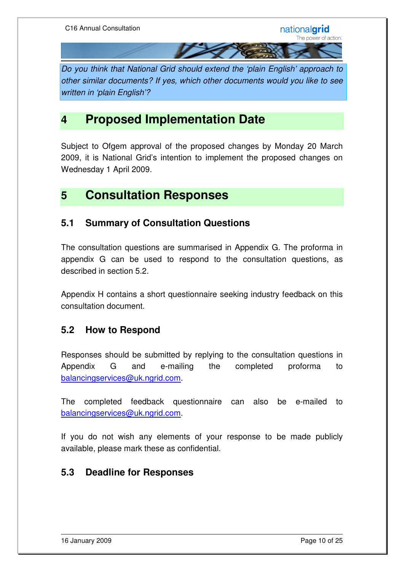Do you think that National Grid should extend the 'plain English' approach to other similar documents? If yes, which other documents would you like to see written in 'plain English'?

### **4 Proposed Implementation Date**

Subject to Ofgem approval of the proposed changes by Monday 20 March 2009, it is National Grid's intention to implement the proposed changes on Wednesday 1 April 2009.

### **5 Consultation Responses**

#### **5.1 Summary of Consultation Questions**

The consultation questions are summarised in Appendix G. The proforma in appendix G can be used to respond to the consultation questions, as described in section 5.2.

Appendix H contains a short questionnaire seeking industry feedback on this consultation document.

#### **5.2 How to Respond**

Responses should be submitted by replying to the consultation questions in Appendix G and e-mailing the completed proforma to balancingservices@uk.ngrid.com.

The completed feedback questionnaire can also be e-mailed to balancingservices@uk.ngrid.com.

If you do not wish any elements of your response to be made publicly available, please mark these as confidential.

#### **5.3 Deadline for Responses**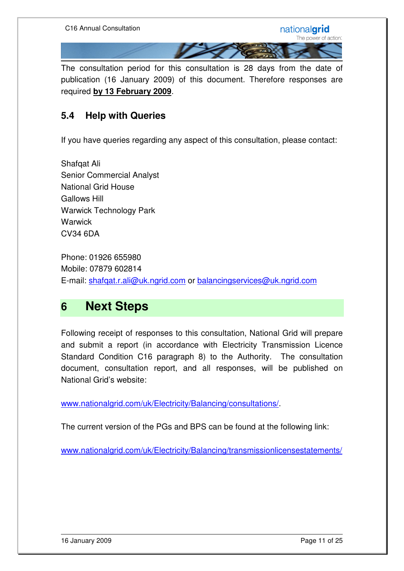

The consultation period for this consultation is 28 days from the date of publication (16 January 2009) of this document. Therefore responses are required **by 13 February 2009**.

#### **5.4 Help with Queries**

If you have queries regarding any aspect of this consultation, please contact:

Shafqat Ali Senior Commercial Analyst National Grid House Gallows Hill Warwick Technology Park **Warwick** CV34 6DA

Phone: 01926 655980 Mobile: 07879 602814 E-mail: shafqat.r.ali@uk.ngrid.com or balancingservices@uk.ngrid.com

### **6 Next Steps**

Following receipt of responses to this consultation, National Grid will prepare and submit a report (in accordance with Electricity Transmission Licence Standard Condition C16 paragraph 8) to the Authority. The consultation document, consultation report, and all responses, will be published on National Grid's website:

www.nationalgrid.com/uk/Electricity/Balancing/consultations/.

The current version of the PGs and BPS can be found at the following link:

www.nationalgrid.com/uk/Electricity/Balancing/transmissionlicensestatements/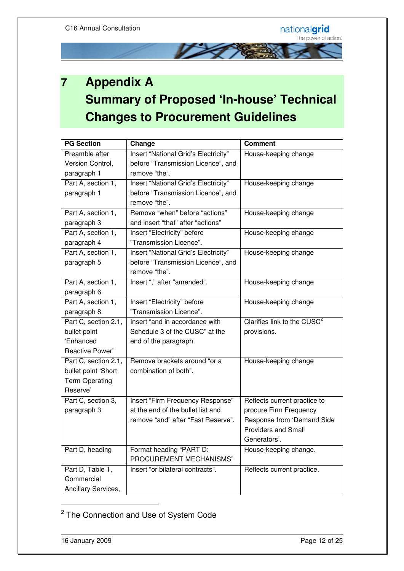

## **7 Appendix A Summary of Proposed 'In-house' Technical Changes to Procurement Guidelines**

| <b>PG Section</b>     | Change                               | <b>Comment</b>                          |
|-----------------------|--------------------------------------|-----------------------------------------|
| Preamble after        | Insert "National Grid's Electricity" | House-keeping change                    |
| Version Control,      | before "Transmission Licence", and   |                                         |
| paragraph 1           | remove "the".                        |                                         |
| Part A, section 1,    | Insert "National Grid's Electricity" | House-keeping change                    |
| paragraph 1           | before "Transmission Licence", and   |                                         |
|                       | remove "the".                        |                                         |
| Part A, section 1,    | Remove "when" before "actions"       | House-keeping change                    |
| paragraph 3           | and insert "that" after "actions"    |                                         |
| Part A, section 1,    | Insert "Electricity" before          | House-keeping change                    |
| paragraph 4           | "Transmission Licence".              |                                         |
| Part A, section 1,    | Insert "National Grid's Electricity" | House-keeping change                    |
| paragraph 5           | before "Transmission Licence", and   |                                         |
|                       | remove "the".                        |                                         |
| Part A, section 1,    | Insert "," after "amended".          | House-keeping change                    |
| paragraph 6           |                                      |                                         |
| Part A, section 1,    | Insert "Electricity" before          | House-keeping change                    |
| paragraph 8           | "Transmission Licence".              |                                         |
| Part C, section 2.1,  | Insert "and in accordance with       | Clarifies link to the CUSC <sup>2</sup> |
| bullet point          | Schedule 3 of the CUSC" at the       | provisions.                             |
| 'Enhanced             | end of the paragraph.                |                                         |
| Reactive Power'       |                                      |                                         |
| Part C, section 2.1,  | Remove brackets around "or a         | House-keeping change                    |
| bullet point 'Short   | combination of both".                |                                         |
| <b>Term Operating</b> |                                      |                                         |
| Reserve'              |                                      |                                         |
| Part C, section 3,    | Insert "Firm Frequency Response"     | Reflects current practice to            |
| paragraph 3           | at the end of the bullet list and    | procure Firm Frequency                  |
|                       | remove "and" after "Fast Reserve".   | Response from 'Demand Side              |
|                       |                                      | <b>Providers and Small</b>              |
|                       |                                      | Generators'.                            |
| Part D, heading       | Format heading "PART D:              | House-keeping change.                   |
|                       | PROCUREMENT MECHANISMS"              |                                         |
| Part D, Table 1,      | Insert "or bilateral contracts".     | Reflects current practice.              |
| Commercial            |                                      |                                         |
| Ancillary Services,   |                                      |                                         |

<sup>&</sup>lt;sup>2</sup> The Connection and Use of System Code

-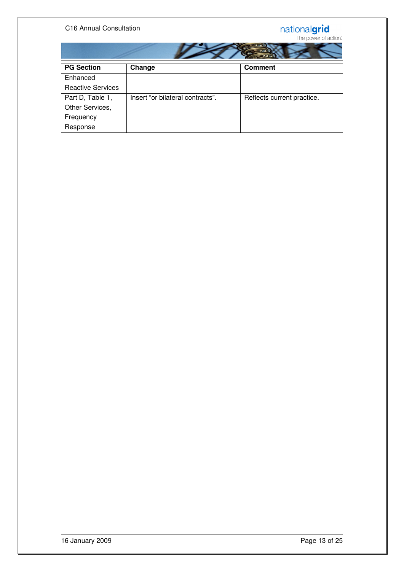#### C16 Annual Consultation

|  | . . <i>.</i>     |  |  |
|--|------------------|--|--|
|  | <b>FO</b><br>2.2 |  |  |
|  | $\sim$           |  |  |
|  | $\sim$           |  |  |

| <b>PG Section</b>        | Change                           | <b>Comment</b>             |  |  |
|--------------------------|----------------------------------|----------------------------|--|--|
| Enhanced                 |                                  |                            |  |  |
| <b>Reactive Services</b> |                                  |                            |  |  |
| Part D, Table 1,         | Insert "or bilateral contracts". | Reflects current practice. |  |  |
| Other Services,          |                                  |                            |  |  |
| Frequency                |                                  |                            |  |  |
| Response                 |                                  |                            |  |  |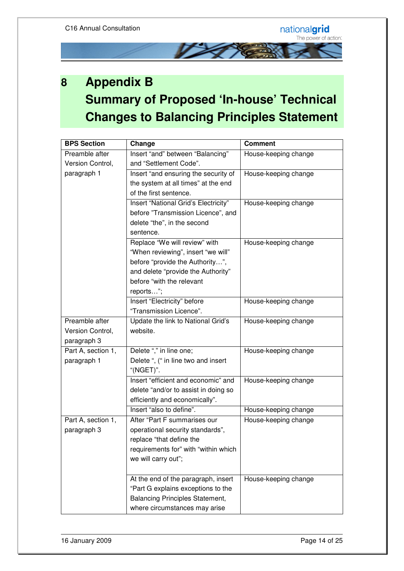

## **8 Appendix B Summary of Proposed 'In-house' Technical Changes to Balancing Principles Statement**

| <b>BPS Section</b> | Change                                 | <b>Comment</b>       |
|--------------------|----------------------------------------|----------------------|
| Preamble after     | Insert "and" between "Balancing"       | House-keeping change |
| Version Control,   | and "Settlement Code".                 |                      |
| paragraph 1        | Insert "and ensuring the security of   | House-keeping change |
|                    | the system at all times" at the end    |                      |
|                    | of the first sentence.                 |                      |
|                    | Insert "National Grid's Electricity"   | House-keeping change |
|                    | before "Transmission Licence", and     |                      |
|                    | delete "the", in the second            |                      |
|                    | sentence.                              |                      |
|                    | Replace "We will review" with          | House-keeping change |
|                    | "When reviewing", insert "we will"     |                      |
|                    | before "provide the Authority",        |                      |
|                    | and delete "provide the Authority"     |                      |
|                    | before "with the relevant              |                      |
|                    | reports";                              |                      |
|                    | Insert "Electricity" before            | House-keeping change |
|                    | "Transmission Licence".                |                      |
| Preamble after     | Update the link to National Grid's     | House-keeping change |
| Version Control,   | website.                               |                      |
| paragraph 3        |                                        |                      |
| Part A, section 1, | Delete "," in line one;                | House-keeping change |
| paragraph 1        | Delete ", (" in line two and insert    |                      |
|                    | "(NGET)".                              |                      |
|                    | Insert "efficient and economic" and    | House-keeping change |
|                    | delete "and/or to assist in doing so   |                      |
|                    | efficiently and economically".         |                      |
|                    | Insert "also to define".               | House-keeping change |
| Part A, section 1, | After "Part F summarises our           | House-keeping change |
| paragraph 3        | operational security standards",       |                      |
|                    | replace "that define the               |                      |
|                    | requirements for" with "within which   |                      |
|                    | we will carry out";                    |                      |
|                    |                                        |                      |
|                    | At the end of the paragraph, insert    | House-keeping change |
|                    | "Part G explains exceptions to the     |                      |
|                    | <b>Balancing Principles Statement,</b> |                      |
|                    | where circumstances may arise          |                      |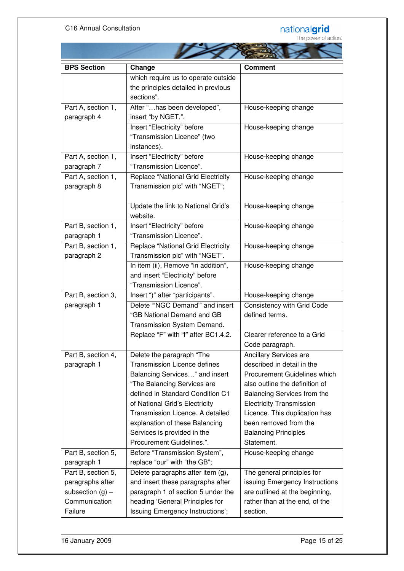|  | <b>Communication</b> |  |
|--|----------------------|--|
|  |                      |  |
|  |                      |  |

| <b>BPS Section</b>                                     | Change                                                             | <b>Comment</b>                                         |
|--------------------------------------------------------|--------------------------------------------------------------------|--------------------------------------------------------|
|                                                        | which require us to operate outside                                |                                                        |
|                                                        | the principles detailed in previous                                |                                                        |
|                                                        | sections".                                                         |                                                        |
| Part A, section 1,                                     | After "has been developed",                                        | House-keeping change                                   |
| paragraph 4                                            | insert "by NGET,".                                                 |                                                        |
|                                                        | Insert "Electricity" before                                        | House-keeping change                                   |
|                                                        | "Transmission Licence" (two                                        |                                                        |
|                                                        | instances).                                                        |                                                        |
| Part A, section 1,                                     | Insert "Electricity" before                                        | House-keeping change                                   |
| paragraph 7                                            | "Transmission Licence".                                            |                                                        |
| Part A, section 1,                                     | <b>Replace "National Grid Electricity</b>                          | House-keeping change                                   |
| paragraph 8                                            | Transmission plc" with "NGET";                                     |                                                        |
|                                                        |                                                                    |                                                        |
|                                                        | Update the link to National Grid's                                 | House-keeping change                                   |
|                                                        | website.                                                           |                                                        |
| Part B, section 1,                                     | Insert "Electricity" before                                        | House-keeping change                                   |
| paragraph 1                                            | "Transmission Licence".                                            |                                                        |
| Part B, section 1,                                     | <b>Replace "National Grid Electricity</b>                          | House-keeping change                                   |
| paragraph 2                                            | Transmission plc" with "NGET".                                     |                                                        |
|                                                        | In item (ii), Remove "in addition",                                | House-keeping change                                   |
|                                                        | and insert "Electricity" before                                    |                                                        |
|                                                        | "Transmission Licence".                                            |                                                        |
| Part B, section 3,<br>Insert ")" after "participants". |                                                                    | House-keeping change                                   |
| paragraph 1                                            | Delete "NGC Demand" and insert                                     | Consistency with Grid Code                             |
|                                                        | "GB National Demand and GB                                         | defined terms.                                         |
|                                                        | Transmission System Demand.                                        |                                                        |
|                                                        | Replace "F" with "f" after BC1.4.2.                                | Clearer reference to a Grid                            |
|                                                        |                                                                    | Code paragraph.                                        |
| Part B, section 4,                                     | Delete the paragraph "The                                          | Ancillary Services are                                 |
| paragraph 1                                            | <b>Transmission Licence defines</b>                                | described in detail in the                             |
|                                                        | Balancing Services" and insert                                     | Procurement Guidelines which                           |
|                                                        | "The Balancing Services are<br>defined in Standard Condition C1    | also outline the definition of                         |
|                                                        |                                                                    | Balancing Services from the                            |
|                                                        | of National Grid's Electricity<br>Transmission Licence. A detailed | <b>Electricity Transmission</b>                        |
|                                                        | explanation of these Balancing                                     | Licence. This duplication has<br>been removed from the |
|                                                        | Services is provided in the                                        | <b>Balancing Principles</b>                            |
|                                                        | Procurement Guidelines.".                                          | Statement.                                             |
| Part B, section 5,                                     | Before "Transmission System",                                      | House-keeping change                                   |
| paragraph 1                                            | replace "our" with "the GB";                                       |                                                        |
| Part B, section 5,                                     | Delete paragraphs after item (g),                                  | The general principles for                             |
| paragraphs after                                       | and insert these paragraphs after                                  | issuing Emergency Instructions                         |
| subsection $(g)$ –                                     | paragraph 1 of section 5 under the                                 | are outlined at the beginning,                         |
| Communication                                          | heading 'General Principles for                                    | rather than at the end, of the                         |
| Failure                                                | Issuing Emergency Instructions';                                   | section.                                               |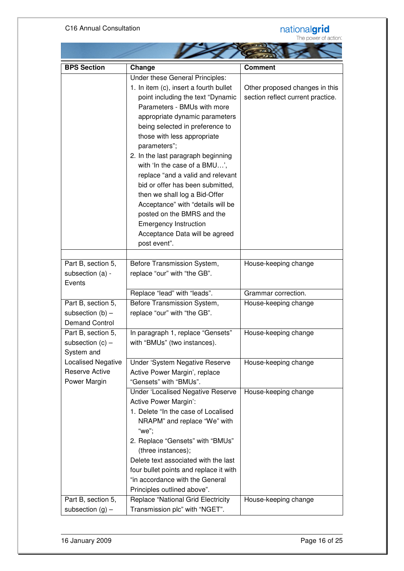#### C16 Annual Consultation



| <b>BPS Section</b>        | Change                                    | <b>Comment</b>                    |
|---------------------------|-------------------------------------------|-----------------------------------|
|                           | Under these General Principles:           |                                   |
|                           | 1. In item (c), insert a fourth bullet    | Other proposed changes in this    |
|                           | point including the text "Dynamic         | section reflect current practice. |
|                           | Parameters - BMUs with more               |                                   |
|                           | appropriate dynamic parameters            |                                   |
|                           | being selected in preference to           |                                   |
|                           | those with less appropriate               |                                   |
|                           | parameters";                              |                                   |
|                           | 2. In the last paragraph beginning        |                                   |
|                           | with 'In the case of a BMU',              |                                   |
|                           | replace "and a valid and relevant         |                                   |
|                           | bid or offer has been submitted,          |                                   |
|                           | then we shall log a Bid-Offer             |                                   |
|                           |                                           |                                   |
|                           | Acceptance" with "details will be         |                                   |
|                           | posted on the BMRS and the                |                                   |
|                           | <b>Emergency Instruction</b>              |                                   |
|                           | Acceptance Data will be agreed            |                                   |
|                           | post event".                              |                                   |
|                           |                                           |                                   |
| Part B, section 5,        | Before Transmission System,               | House-keeping change              |
| subsection (a) -          | replace "our" with "the GB".              |                                   |
| Events                    |                                           |                                   |
|                           | Replace "lead" with "leads".              | Grammar correction.               |
| Part B, section 5,        | Before Transmission System,               | House-keeping change              |
| subsection $(b)$ –        | replace "our" with "the GB".              |                                   |
| <b>Demand Control</b>     |                                           |                                   |
| Part B, section 5,        | In paragraph 1, replace "Gensets"         | House-keeping change              |
| subsection $(c)$ –        | with "BMUs" (two instances).              |                                   |
| System and                |                                           |                                   |
| <b>Localised Negative</b> | Under 'System Negative Reserve            | House-keeping change              |
| <b>Reserve Active</b>     | Active Power Margin', replace             |                                   |
| Power Margin              | "Gensets" with "BMUs".                    |                                   |
|                           |                                           |                                   |
|                           | <b>Under 'Localised Negative Reserve</b>  | House-keeping change              |
|                           | Active Power Margin':                     |                                   |
|                           | 1. Delete "In the case of Localised       |                                   |
|                           | NRAPM" and replace "We" with              |                                   |
|                           | "we";                                     |                                   |
|                           | 2. Replace "Gensets" with "BMUs"          |                                   |
|                           | (three instances);                        |                                   |
|                           | Delete text associated with the last      |                                   |
|                           | four bullet points and replace it with    |                                   |
|                           | "in accordance with the General           |                                   |
|                           | Principles outlined above".               |                                   |
| Part B, section 5,        | <b>Replace "National Grid Electricity</b> | House-keeping change              |
| subsection $(g)$ –        | Transmission plc" with "NGET".            |                                   |
|                           |                                           |                                   |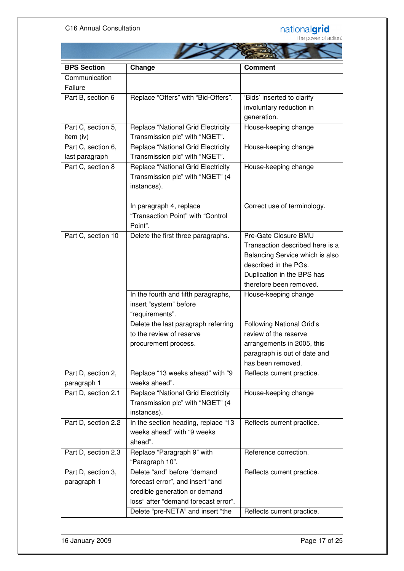

| <b>BPS Section</b>  | Change                                    | <b>Comment</b>                   |
|---------------------|-------------------------------------------|----------------------------------|
| Communication       |                                           |                                  |
| Failure             |                                           |                                  |
| Part B, section 6   | Replace "Offers" with "Bid-Offers".       | 'Bids' inserted to clarify       |
|                     |                                           | involuntary reduction in         |
|                     |                                           | generation.                      |
| Part C, section 5,  | <b>Replace "National Grid Electricity</b> | House-keeping change             |
| item (iv)           | Transmission plc" with "NGET".            |                                  |
| Part C, section 6,  | <b>Replace "National Grid Electricity</b> | House-keeping change             |
| last paragraph      | Transmission plc" with "NGET".            |                                  |
| Part C, section 8   | <b>Replace "National Grid Electricity</b> | House-keeping change             |
|                     | Transmission plc" with "NGET" (4          |                                  |
|                     | instances).                               |                                  |
|                     |                                           |                                  |
|                     | In paragraph 4, replace                   | Correct use of terminology.      |
|                     | "Transaction Point" with "Control         |                                  |
|                     | Point".                                   |                                  |
| Part C, section 10  | Delete the first three paragraphs.        | Pre-Gate Closure BMU             |
|                     |                                           | Transaction described here is a  |
|                     |                                           | Balancing Service which is also  |
|                     |                                           | described in the PGs.            |
|                     |                                           | Duplication in the BPS has       |
|                     |                                           | therefore been removed.          |
|                     | In the fourth and fifth paragraphs,       | House-keeping change             |
|                     | insert "system" before                    |                                  |
|                     | "requirements".                           |                                  |
|                     | Delete the last paragraph referring       | <b>Following National Grid's</b> |
|                     | to the review of reserve                  | review of the reserve            |
|                     |                                           | arrangements in 2005, this       |
|                     | procurement process.                      | paragraph is out of date and     |
|                     |                                           | has been removed.                |
|                     |                                           |                                  |
| Part D, section 2,  | Replace "13 weeks ahead" with "9          | Reflects current practice.       |
| paragraph 1         | weeks ahead".                             |                                  |
| Part D, section 2.1 | <b>Replace "National Grid Electricity</b> | House-keeping change             |
|                     | Transmission plc" with "NGET" (4          |                                  |
|                     | instances).                               |                                  |
| Part D, section 2.2 | In the section heading, replace "13       | Reflects current practice.       |
|                     | weeks ahead" with "9 weeks                |                                  |
|                     | ahead".                                   |                                  |
| Part D, section 2.3 | Replace "Paragraph 9" with                | Reference correction.            |
|                     | "Paragraph 10".                           |                                  |
| Part D, section 3,  | Delete "and" before "demand               | Reflects current practice.       |
| paragraph 1         | forecast error", and insert "and          |                                  |
|                     | credible generation or demand             |                                  |
|                     | loss" after "demand forecast error".      |                                  |
|                     | Delete "pre-NETA" and insert "the         | Reflects current practice.       |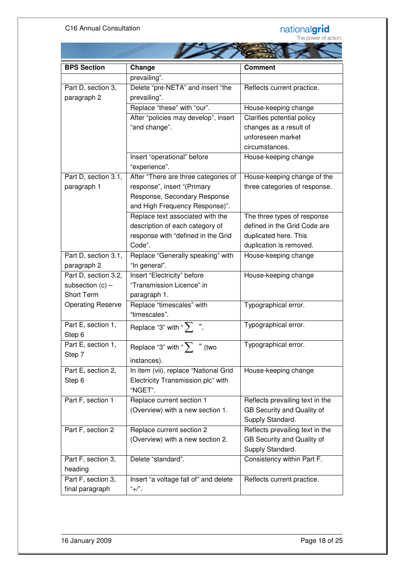#### C16 Annual Consultation

# nationalgrid<br>The power of action:

÷

| <b>BPS Section</b>       | Change                                | <b>Comment</b>                  |  |  |
|--------------------------|---------------------------------------|---------------------------------|--|--|
|                          | prevailing".                          |                                 |  |  |
| Part D, section 3,       | Delete "pre-NETA" and insert "the     | Reflects current practice.      |  |  |
| paragraph 2              | prevailing".                          |                                 |  |  |
|                          | Replace "these" with "our".           | House-keeping change            |  |  |
|                          | After "policies may develop", insert  | Clarifies potential policy      |  |  |
|                          | "and change".                         | changes as a result of          |  |  |
|                          |                                       | unforeseen market               |  |  |
|                          |                                       | circumstances.                  |  |  |
|                          | Insert "operational" before           | House-keeping change            |  |  |
|                          | "experience".                         |                                 |  |  |
| Part D, section 3.1,     | After "There are three categories of  | House-keeping change of the     |  |  |
| paragraph 1              | response", insert "(Primary           | three categories of response.   |  |  |
|                          | Response, Secondary Response          |                                 |  |  |
|                          | and High Frequency Response)".        |                                 |  |  |
|                          | Replace text associated with the      | The three types of response     |  |  |
|                          | description of each category of       | defined in the Grid Code are    |  |  |
|                          | response with "defined in the Grid    | duplicated here. This           |  |  |
|                          | Code".                                | duplication is removed.         |  |  |
| Part D, section 3.1,     | Replace "Generally speaking" with     | House-keeping change            |  |  |
| paragraph 2              | "In general".                         |                                 |  |  |
| Part D, section 3.2,     | Insert "Electricity" before           | House-keeping change            |  |  |
| subsection $(c)$ –       | "Transmission Licence" in             |                                 |  |  |
| <b>Short Term</b>        | paragraph 1.                          |                                 |  |  |
| <b>Operating Reserve</b> | Replace "timescales" with             | Typographical error.            |  |  |
|                          | "timescales".                         |                                 |  |  |
| Part E, section 1,       | Replace "3" with " $\sum$ ".          | Typographical error.            |  |  |
| Step 6                   |                                       |                                 |  |  |
| Part E, section 1,       | Replace "3" with " $\sum$ " (two      | Typographical error.            |  |  |
| Step 7                   | instances).                           |                                 |  |  |
| Part E, section 2,       | In item (vii), replace "National Grid | House-keeping change            |  |  |
| Step 6                   | Electricity Transmission plc" with    |                                 |  |  |
|                          | "NGET".                               |                                 |  |  |
| Part F, section 1        | Replace current section 1             | Reflects prevailing text in the |  |  |
|                          | (Overview) with a new section 1.      | GB Security and Quality of      |  |  |
|                          |                                       | Supply Standard.                |  |  |
| Part F, section 2        | Replace current section 2             | Reflects prevailing text in the |  |  |
|                          | (Overview) with a new section 2.      | GB Security and Quality of      |  |  |
|                          |                                       | Supply Standard.                |  |  |
| Part F, section 3,       | Delete "standard".                    | Consistency within Part F.      |  |  |
| heading                  |                                       |                                 |  |  |
| Part F, section 3,       | Insert "a voltage fall of" and delete | Reflects current practice.      |  |  |
| final paragraph          | "+/".                                 |                                 |  |  |

the contract of the state of the state of the state of the state of the state of the state of the state of the state of the state of the state of the state of the state of the state of the state of the state of the state o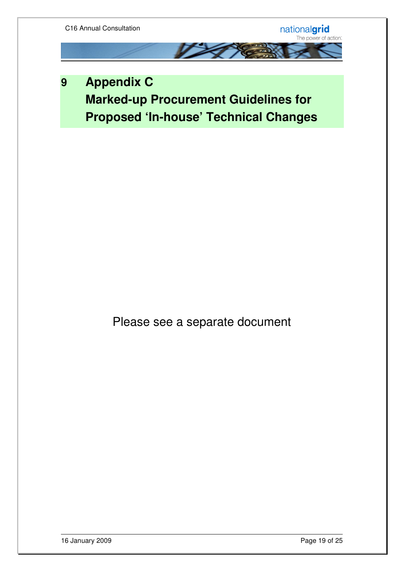

**9 Appendix C Marked-up Procurement Guidelines for Proposed 'In-house' Technical Changes**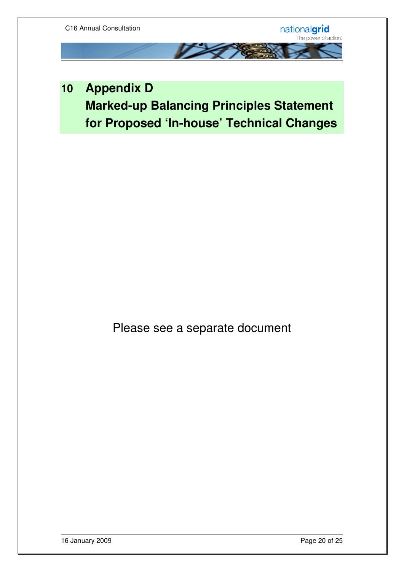

## **10 Appendix D Marked-up Balancing Principles Statement for Proposed 'In-house' Technical Changes**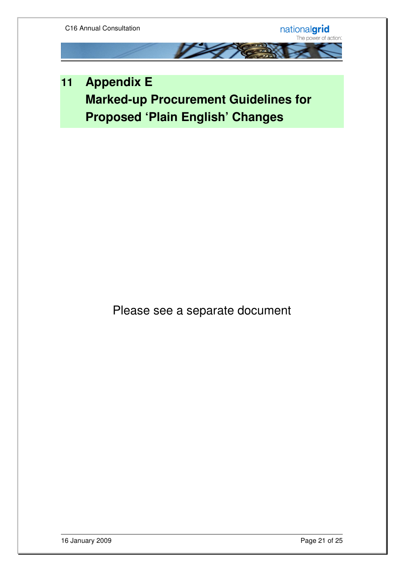

**11 Appendix E Marked-up Procurement Guidelines for Proposed 'Plain English' Changes**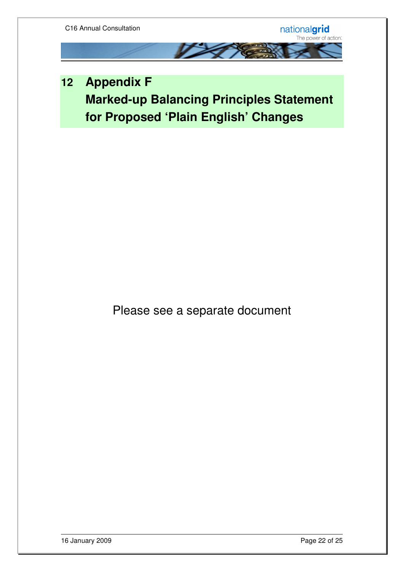## **12 Appendix F Marked-up Balancing Principles Statement for Proposed 'Plain English' Changes**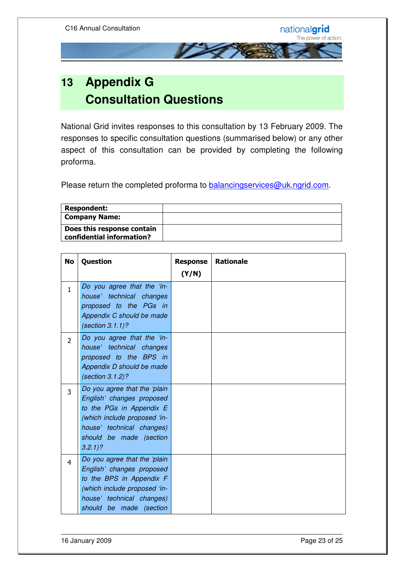

National Grid invites responses to this consultation by 13 February 2009. The responses to specific consultation questions (summarised below) or any other aspect of this consultation can be provided by completing the following proforma.

Please return the completed proforma to **balancingservices@uk.ngrid.com**.

| Respondent:                                             |  |
|---------------------------------------------------------|--|
| Company Name:                                           |  |
| Does this response contain<br>confidential information? |  |

| <b>No</b>      | Question                                                                                                                                                                                   | <b>Response</b> | <b>Rationale</b> |
|----------------|--------------------------------------------------------------------------------------------------------------------------------------------------------------------------------------------|-----------------|------------------|
|                |                                                                                                                                                                                            | (Y/N)           |                  |
| $\mathbf{1}$   | Do you agree that the 'in-<br>house' technical changes<br>proposed to the PGs in<br>Appendix C should be made<br>(section $3.1.1$ )?                                                       |                 |                  |
| $\overline{2}$ | Do you agree that the 'in-<br>house' technical changes<br>proposed to the BPS in<br>Appendix D should be made<br>(section 3.1.2)?                                                          |                 |                  |
| $\overline{3}$ | Do you agree that the 'plain<br>English' changes proposed<br>to the PGs in Appendix E<br>(which include proposed 'in-<br>house' technical changes)<br>should be made (section<br>$3.2.1$ ? |                 |                  |
| 4              | Do you agree that the 'plain<br>English' changes proposed<br>to the BPS in Appendix F<br>(which include proposed 'in-<br>house' technical changes)<br>should be made (section              |                 |                  |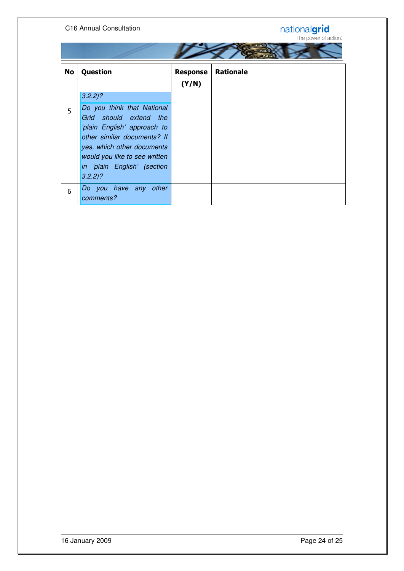#### C16 Annual Consultation



| No | Question                                                                                                                                                                                                                      | <b>Response</b><br>(Y/N) | <b>Rationale</b> |
|----|-------------------------------------------------------------------------------------------------------------------------------------------------------------------------------------------------------------------------------|--------------------------|------------------|
|    | $3.2.2$ ?                                                                                                                                                                                                                     |                          |                  |
| 5  | Do you think that National<br>Grid should extend the<br>'plain English' approach to<br>other similar documents? If<br>yes, which other documents<br>would you like to see written<br>in 'plain English' (section<br>$3.2.2$ ? |                          |                  |
| 6  | Do you have any other<br>comments?                                                                                                                                                                                            |                          |                  |